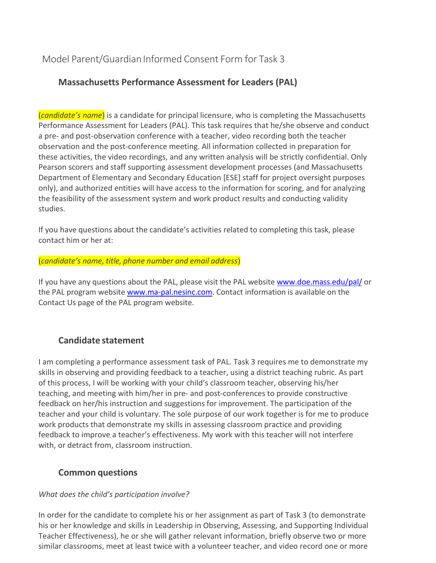# Model Parent/Guardian Informed Consent Form for Task 3

## **Massachusetts Performance Assessment for Leaders (PAL)**

(*candidate's name*) is a candidate for principal licensure, who is completing the Massachusetts Performance Assessment for Leaders (PAL). This task requires that he/she observe and conduct a pre- and post-observation conference with a teacher, video recording both the teacher observation and the post-conference meeting. All information collected in preparation for these activities, the video recordings, and any written analysis will be strictly confidential. Only Pearson scorers and staff supporting assessment development processes (and Massachusetts Department of Elementary and Secondary Education [ESE] staff for project oversight purposes only), and authorized entities will have access to the information for scoring, and for analyzing the feasibility of the assessment system and work product results and conducting validity studies.

If you have questions about the candidate's activities related to completing this task, please contact him or her at:

#### (*candidate's name, title, phone number and email address*)

If you have any questions about the PAL, please visit the PAL website [www.doe.mass.edu/pal/](http://www.doe.mass.edu/pal/) or the PAL program website [www.ma-pal.nesinc.com.](http://www.ma-pal.nesinc.com/) Contact information is available on the Contact Us page of the PAL program website.

## **Candidate statement**

I am completing a performance assessment task of PAL. Task 3 requires me to demonstrate my skills in observing and providing feedback to a teacher, using a district teaching rubric. As part of this process, I will be working with your child's classroom teacher, observing his/her teaching, and meeting with him/her in pre- and post-conferences to provide constructive feedback on her/his instruction and suggestions for improvement. The participation of the teacher and your child is voluntary. The sole purpose of our work together is for me to produce work products that demonstrate my skills in assessing classroom practice and providing feedback to improve a teacher's effectiveness. My work with this teacher will not interfere with, or detract from, classroom instruction.

## **Common questions**

#### *What does the child's participation involve?*

In order for the candidate to complete his or her assignment as part of Task 3 (to demonstrate his or her knowledge and skills in Leadership in Observing, Assessing, and Supporting Individual Teacher Effectiveness), he or she will gather relevant information, briefly observe two or more similar classrooms, meet at least twice with a volunteer teacher, and video record one or more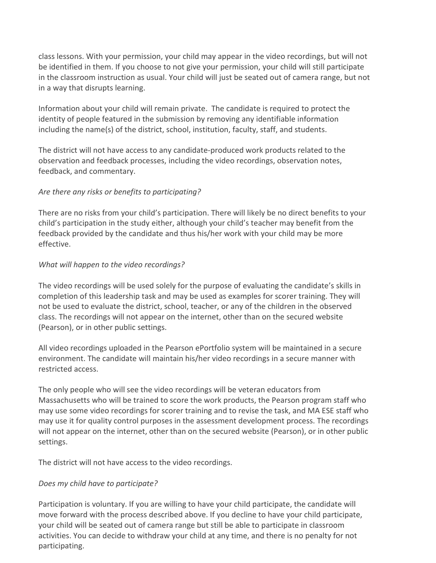class lessons. With your permission, your child may appear in the video recordings, but will not be identified in them. If you choose to not give your permission, your child will still participate in the classroom instruction as usual. Your child will just be seated out of camera range, but not in a way that disrupts learning.

Information about your child will remain private. The candidate is required to protect the identity of people featured in the submission by removing any identifiable information including the name(s) of the district, school, institution, faculty, staff, and students.

The district will not have access to any candidate-produced work products related to the observation and feedback processes, including the video recordings, observation notes, feedback, and commentary.

#### *Are there any risks or benefits to participating?*

There are no risks from your child's participation. There will likely be no direct benefits to your child's participation in the study either, although your child's teacher may benefit from the feedback provided by the candidate and thus his/her work with your child may be more effective.

#### *What will happen to the video recordings?*

The video recordings will be used solely for the purpose of evaluating the candidate's skills in completion of this leadership task and may be used as examples for scorer training. They will not be used to evaluate the district, school, teacher, or any of the children in the observed class. The recordings will not appear on the internet, other than on the secured website (Pearson), or in other public settings.

All video recordings uploaded in the Pearson ePortfolio system will be maintained in a secure environment. The candidate will maintain his/her video recordings in a secure manner with restricted access.

The only people who will see the video recordings will be veteran educators from Massachusetts who will be trained to score the work products, the Pearson program staff who may use some video recordings for scorer training and to revise the task, and MA ESE staff who may use it for quality control purposes in the assessment development process. The recordings will not appear on the internet, other than on the secured website (Pearson), or in other public settings.

The district will not have access to the video recordings.

#### *Does my child have to participate?*

Participation is voluntary. If you are willing to have your child participate, the candidate will move forward with the process described above. If you decline to have your child participate, your child will be seated out of camera range but still be able to participate in classroom activities. You can decide to withdraw your child at any time, and there is no penalty for not participating.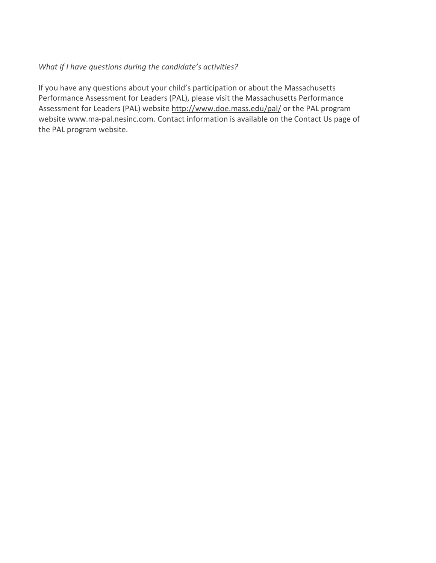#### *What if I have questions during the candidate's activities?*

If you have any questions about your child's participation or about the Massachusetts Performance Assessment for Leaders (PAL), please visit the Massachusetts Performance Assessment for Leaders (PAL) website<http://www.doe.mass.edu/pal/> or the PAL program website [www.ma-pal.nesinc.com.](http://www.ma-pal.nesinc.com/) Contact information is available on the Contact Us page of the PAL program website.